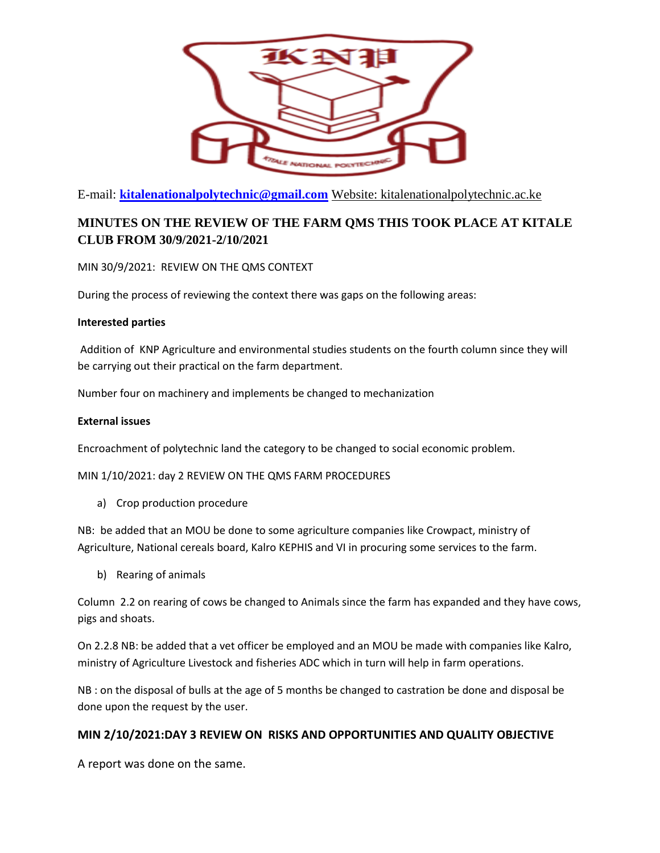

E-mail: **[kitalenationalpolytechnic@gmail.com](mailto:kitalenationalpolytechnic@gmail.com)** Website: kitalenationalpolytechnic.ac.ke

## **MINUTES ON THE REVIEW OF THE FARM QMS THIS TOOK PLACE AT KITALE CLUB FROM 30/9/2021-2/10/2021**

MIN 30/9/2021: REVIEW ON THE QMS CONTEXT

During the process of reviewing the context there was gaps on the following areas:

## **Interested parties**

Addition of KNP Agriculture and environmental studies students on the fourth column since they will be carrying out their practical on the farm department.

Number four on machinery and implements be changed to mechanization

## **External issues**

Encroachment of polytechnic land the category to be changed to social economic problem.

MIN 1/10/2021: day 2 REVIEW ON THE QMS FARM PROCEDURES

a) Crop production procedure

NB: be added that an MOU be done to some agriculture companies like Crowpact, ministry of Agriculture, National cereals board, Kalro KEPHIS and VI in procuring some services to the farm.

b) Rearing of animals

Column 2.2 on rearing of cows be changed to Animals since the farm has expanded and they have cows, pigs and shoats.

On 2.2.8 NB: be added that a vet officer be employed and an MOU be made with companies like Kalro, ministry of Agriculture Livestock and fisheries ADC which in turn will help in farm operations.

NB : on the disposal of bulls at the age of 5 months be changed to castration be done and disposal be done upon the request by the user.

## **MIN 2/10/2021:DAY 3 REVIEW ON RISKS AND OPPORTUNITIES AND QUALITY OBJECTIVE**

A report was done on the same.